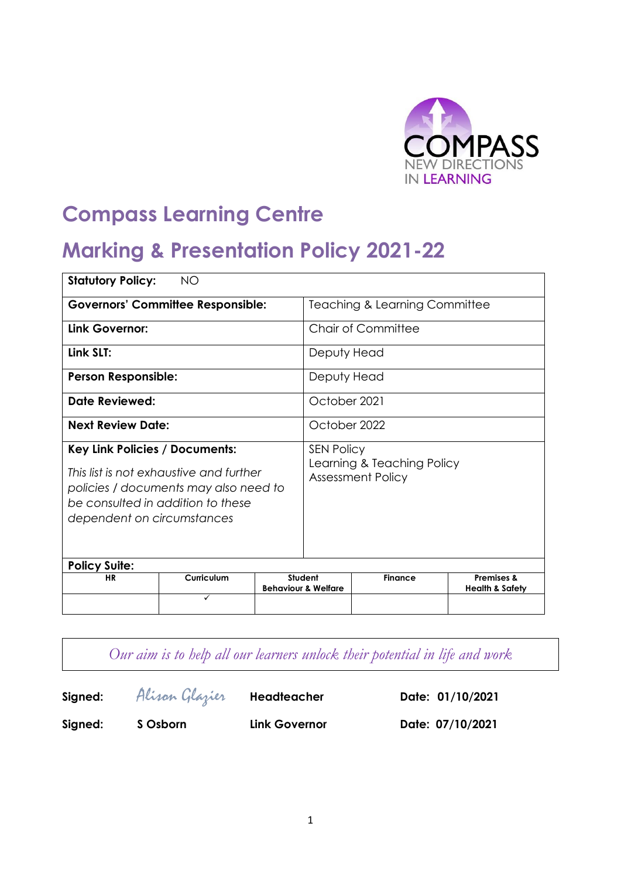

# **Compass Learning Centre**

## **Marking & Presentation Policy 2021-22**

| <b>Statutory Policy:</b><br><b>NO</b>                                                                                                                                                        |                                          |  |                                                                             |                |                                                     |  |
|----------------------------------------------------------------------------------------------------------------------------------------------------------------------------------------------|------------------------------------------|--|-----------------------------------------------------------------------------|----------------|-----------------------------------------------------|--|
|                                                                                                                                                                                              | <b>Governors' Committee Responsible:</b> |  | <b>Teaching &amp; Learning Committee</b>                                    |                |                                                     |  |
| Link Governor:                                                                                                                                                                               |                                          |  | <b>Chair of Committee</b>                                                   |                |                                                     |  |
| Link SLT:                                                                                                                                                                                    |                                          |  | Deputy Head                                                                 |                |                                                     |  |
| <b>Person Responsible:</b>                                                                                                                                                                   |                                          |  | Deputy Head                                                                 |                |                                                     |  |
| Date Reviewed:                                                                                                                                                                               |                                          |  | October 2021                                                                |                |                                                     |  |
| <b>Next Review Date:</b>                                                                                                                                                                     |                                          |  | October 2022                                                                |                |                                                     |  |
| <b>Key Link Policies / Documents:</b><br>This list is not exhaustive and further<br>policies / documents may also need to<br>be consulted in addition to these<br>dependent on circumstances |                                          |  | <b>SEN Policy</b><br>Learning & Teaching Policy<br><b>Assessment Policy</b> |                |                                                     |  |
| <b>Policy Suite:</b><br>Student                                                                                                                                                              |                                          |  |                                                                             |                |                                                     |  |
| <b>HR</b>                                                                                                                                                                                    | Curriculum                               |  | <b>Behaviour &amp; Welfare</b>                                              | <b>Finance</b> | <b>Premises &amp;</b><br><b>Health &amp; Safety</b> |  |
|                                                                                                                                                                                              | ✓                                        |  |                                                                             |                |                                                     |  |

*Our aim is to help all our learners unlock their potential in life and work*

**Signed:** Alison Glazier **Headteacher Date: 01/10/2021 Signed: S Osborn Link Governor Date: 07/10/2021**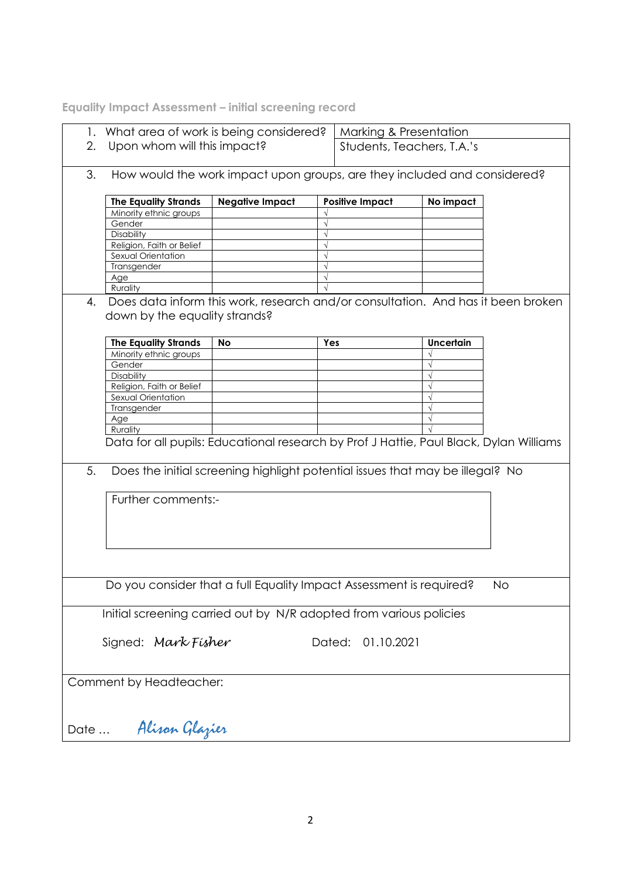**Equality Impact Assessment – initial screening record**

|                                                                    | 1. What area of work is being considered?                                              |                                                                               |                         | Marking & Presentation     |                  |           |  |
|--------------------------------------------------------------------|----------------------------------------------------------------------------------------|-------------------------------------------------------------------------------|-------------------------|----------------------------|------------------|-----------|--|
|                                                                    | Upon whom will this impact?<br>2.                                                      |                                                                               |                         | Students, Teachers, T.A.'s |                  |           |  |
|                                                                    |                                                                                        |                                                                               |                         |                            |                  |           |  |
| 3.                                                                 |                                                                                        | How would the work impact upon groups, are they included and considered?      |                         |                            |                  |           |  |
|                                                                    |                                                                                        |                                                                               |                         |                            |                  |           |  |
|                                                                    | <b>The Equality Strands</b>                                                            | <b>Negative Impact</b>                                                        |                         | <b>Positive Impact</b>     | No impact        |           |  |
|                                                                    | Minority ethnic groups                                                                 |                                                                               |                         |                            |                  |           |  |
|                                                                    | Gender                                                                                 |                                                                               | $\sqrt{ }$              |                            |                  |           |  |
|                                                                    | Disability                                                                             |                                                                               |                         |                            |                  |           |  |
|                                                                    | Religion, Faith or Belief                                                              |                                                                               | $\sqrt{ }$              |                            |                  |           |  |
|                                                                    | Sexual Orientation                                                                     |                                                                               | $\sqrt{}$<br>$\sqrt{ }$ |                            |                  |           |  |
|                                                                    | Transgender<br>Age                                                                     |                                                                               |                         |                            |                  |           |  |
|                                                                    | Rurality                                                                               |                                                                               |                         |                            |                  |           |  |
| 4.                                                                 | Does data inform this work, research and/or consultation. And has it been broken       |                                                                               |                         |                            |                  |           |  |
|                                                                    |                                                                                        |                                                                               |                         |                            |                  |           |  |
|                                                                    | down by the equality strands?                                                          |                                                                               |                         |                            |                  |           |  |
|                                                                    |                                                                                        |                                                                               |                         |                            |                  |           |  |
|                                                                    | <b>The Equality Strands</b>                                                            | No                                                                            | Yes                     |                            | <b>Uncertain</b> |           |  |
|                                                                    | Minority ethnic groups                                                                 |                                                                               |                         |                            |                  |           |  |
|                                                                    | Gender                                                                                 |                                                                               |                         |                            |                  |           |  |
|                                                                    | Disability                                                                             |                                                                               |                         |                            |                  |           |  |
|                                                                    | Religion, Faith or Belief<br>Sexual Orientation                                        |                                                                               |                         |                            |                  |           |  |
|                                                                    | Transgender                                                                            |                                                                               |                         |                            |                  |           |  |
|                                                                    | Age                                                                                    |                                                                               |                         |                            |                  |           |  |
|                                                                    | Rurality                                                                               |                                                                               |                         |                            |                  |           |  |
|                                                                    | Data for all pupils: Educational research by Prof J Hattie, Paul Black, Dylan Williams |                                                                               |                         |                            |                  |           |  |
|                                                                    |                                                                                        |                                                                               |                         |                            |                  |           |  |
|                                                                    |                                                                                        |                                                                               |                         |                            |                  |           |  |
| 5.                                                                 |                                                                                        | Does the initial screening highlight potential issues that may be illegal? No |                         |                            |                  |           |  |
|                                                                    |                                                                                        |                                                                               |                         |                            |                  |           |  |
|                                                                    | Further comments:-                                                                     |                                                                               |                         |                            |                  |           |  |
|                                                                    |                                                                                        |                                                                               |                         |                            |                  |           |  |
|                                                                    |                                                                                        |                                                                               |                         |                            |                  |           |  |
|                                                                    |                                                                                        |                                                                               |                         |                            |                  |           |  |
|                                                                    |                                                                                        |                                                                               |                         |                            |                  |           |  |
|                                                                    |                                                                                        |                                                                               |                         |                            |                  |           |  |
|                                                                    |                                                                                        |                                                                               |                         |                            |                  |           |  |
|                                                                    | Do you consider that a full Equality Impact Assessment is required?                    |                                                                               |                         |                            |                  | <b>No</b> |  |
|                                                                    |                                                                                        |                                                                               |                         |                            |                  |           |  |
|                                                                    |                                                                                        |                                                                               |                         |                            |                  |           |  |
| Initial screening carried out by N/R adopted from various policies |                                                                                        |                                                                               |                         |                            |                  |           |  |
|                                                                    |                                                                                        |                                                                               |                         |                            |                  |           |  |
|                                                                    | Signed: Mark Fisher                                                                    |                                                                               | Dated:                  | 01.10.2021                 |                  |           |  |
|                                                                    |                                                                                        |                                                                               |                         |                            |                  |           |  |
|                                                                    |                                                                                        |                                                                               |                         |                            |                  |           |  |
|                                                                    | Comment by Headteacher:                                                                |                                                                               |                         |                            |                  |           |  |
|                                                                    |                                                                                        |                                                                               |                         |                            |                  |           |  |
|                                                                    |                                                                                        |                                                                               |                         |                            |                  |           |  |
|                                                                    |                                                                                        |                                                                               |                         |                            |                  |           |  |
| Date                                                               | Alison Glazier                                                                         |                                                                               |                         |                            |                  |           |  |
|                                                                    |                                                                                        |                                                                               |                         |                            |                  |           |  |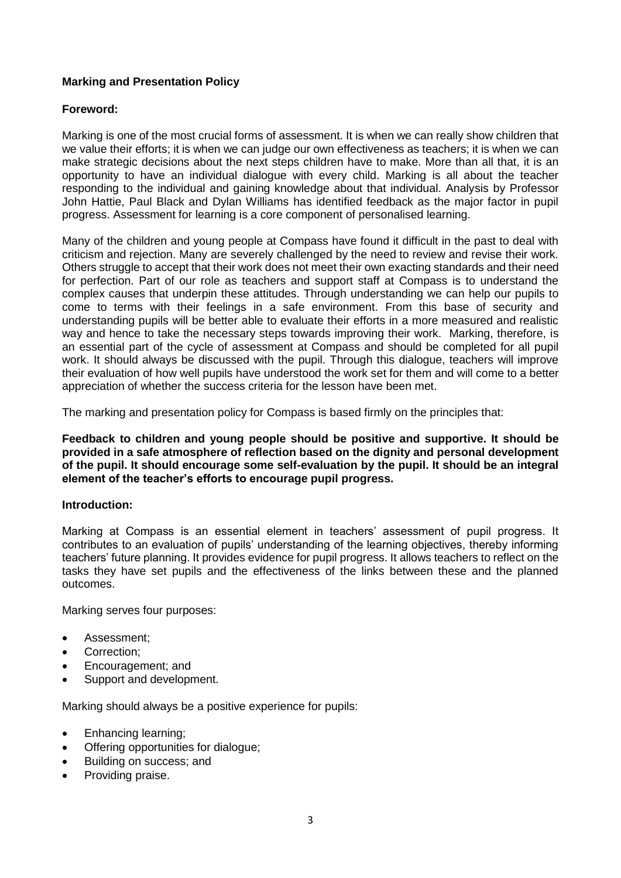## **Marking and Presentation Policy**

#### **Foreword:**

Marking is one of the most crucial forms of assessment. It is when we can really show children that we value their efforts; it is when we can judge our own effectiveness as teachers; it is when we can make strategic decisions about the next steps children have to make. More than all that, it is an opportunity to have an individual dialogue with every child. Marking is all about the teacher responding to the individual and gaining knowledge about that individual. Analysis by Professor John Hattie, Paul Black and Dylan Williams has identified feedback as the major factor in pupil progress. Assessment for learning is a core component of personalised learning.

Many of the children and young people at Compass have found it difficult in the past to deal with criticism and rejection. Many are severely challenged by the need to review and revise their work. Others struggle to accept that their work does not meet their own exacting standards and their need for perfection. Part of our role as teachers and support staff at Compass is to understand the complex causes that underpin these attitudes. Through understanding we can help our pupils to come to terms with their feelings in a safe environment. From this base of security and understanding pupils will be better able to evaluate their efforts in a more measured and realistic way and hence to take the necessary steps towards improving their work. Marking, therefore, is an essential part of the cycle of assessment at Compass and should be completed for all pupil work. It should always be discussed with the pupil. Through this dialogue, teachers will improve their evaluation of how well pupils have understood the work set for them and will come to a better appreciation of whether the success criteria for the lesson have been met.

The marking and presentation policy for Compass is based firmly on the principles that:

**Feedback to children and young people should be positive and supportive. It should be provided in a safe atmosphere of reflection based on the dignity and personal development of the pupil. It should encourage some self-evaluation by the pupil. It should be an integral element of the teacher's efforts to encourage pupil progress.**

#### **Introduction:**

Marking at Compass is an essential element in teachers' assessment of pupil progress. It contributes to an evaluation of pupils' understanding of the learning objectives, thereby informing teachers' future planning. It provides evidence for pupil progress. It allows teachers to reflect on the tasks they have set pupils and the effectiveness of the links between these and the planned outcomes.

Marking serves four purposes:

- Assessment:
- Correction;
- Encouragement; and
- Support and development.

Marking should always be a positive experience for pupils:

- Enhancing learning;
- Offering opportunities for dialogue;
- Building on success; and
- Providing praise.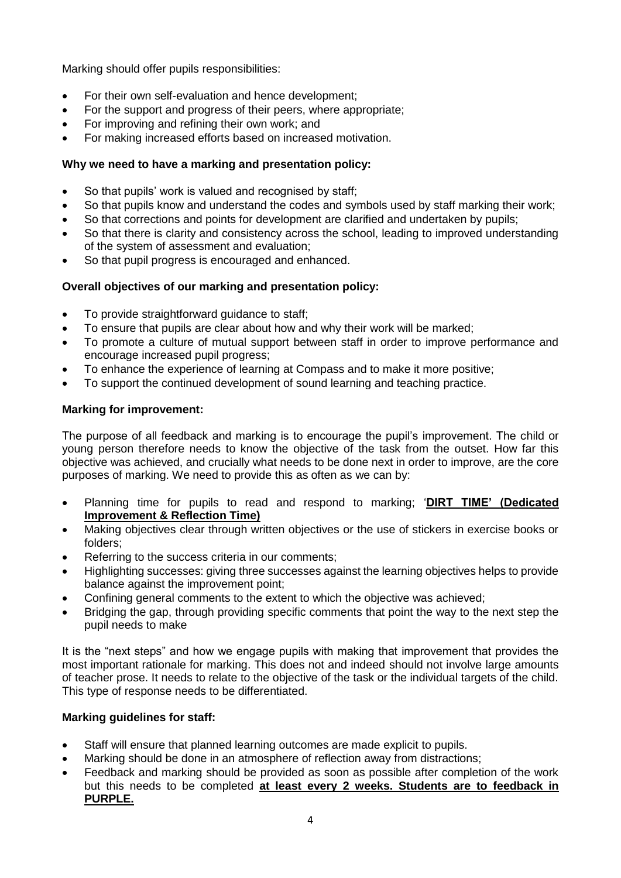Marking should offer pupils responsibilities:

- For their own self-evaluation and hence development;
- For the support and progress of their peers, where appropriate;
- For improving and refining their own work; and
- For making increased efforts based on increased motivation.

#### **Why we need to have a marking and presentation policy:**

- So that pupils' work is valued and recognised by staff;
- So that pupils know and understand the codes and symbols used by staff marking their work;
- So that corrections and points for development are clarified and undertaken by pupils;
- So that there is clarity and consistency across the school, leading to improved understanding of the system of assessment and evaluation;
- So that pupil progress is encouraged and enhanced.

## **Overall objectives of our marking and presentation policy:**

- To provide straightforward quidance to staff;
- To ensure that pupils are clear about how and why their work will be marked;
- To promote a culture of mutual support between staff in order to improve performance and encourage increased pupil progress;
- To enhance the experience of learning at Compass and to make it more positive;
- To support the continued development of sound learning and teaching practice.

## **Marking for improvement:**

The purpose of all feedback and marking is to encourage the pupil's improvement. The child or young person therefore needs to know the objective of the task from the outset. How far this objective was achieved, and crucially what needs to be done next in order to improve, are the core purposes of marking. We need to provide this as often as we can by:

- Planning time for pupils to read and respond to marking; '**DIRT TIME' (Dedicated Improvement & Reflection Time)**
- Making objectives clear through written objectives or the use of stickers in exercise books or folders;
- Referring to the success criteria in our comments;
- Highlighting successes: giving three successes against the learning objectives helps to provide balance against the improvement point;
- Confining general comments to the extent to which the objective was achieved;
- Bridging the gap, through providing specific comments that point the way to the next step the pupil needs to make

It is the "next steps" and how we engage pupils with making that improvement that provides the most important rationale for marking. This does not and indeed should not involve large amounts of teacher prose. It needs to relate to the objective of the task or the individual targets of the child. This type of response needs to be differentiated.

## **Marking guidelines for staff:**

- Staff will ensure that planned learning outcomes are made explicit to pupils.
- Marking should be done in an atmosphere of reflection away from distractions;
- Feedback and marking should be provided as soon as possible after completion of the work but this needs to be completed **at least every 2 weeks. Students are to feedback in PURPLE.**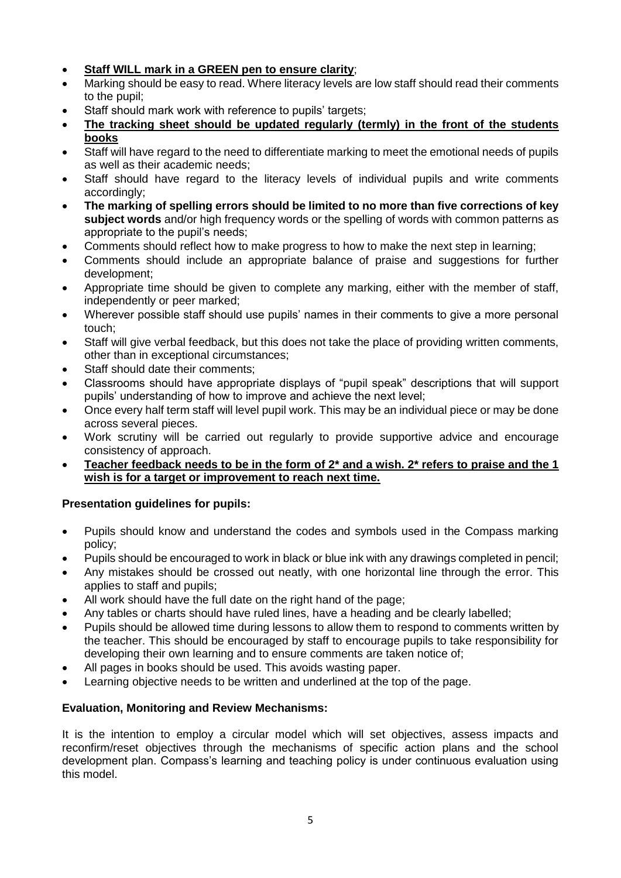- **Staff WILL mark in a GREEN pen to ensure clarity**;
- Marking should be easy to read. Where literacy levels are low staff should read their comments to the pupil;
- Staff should mark work with reference to pupils' targets;
- **The tracking sheet should be updated regularly (termly) in the front of the students books**
- Staff will have regard to the need to differentiate marking to meet the emotional needs of pupils as well as their academic needs;
- Staff should have regard to the literacy levels of individual pupils and write comments accordingly;
- **The marking of spelling errors should be limited to no more than five corrections of key subject words** and/or high frequency words or the spelling of words with common patterns as appropriate to the pupil's needs;
- Comments should reflect how to make progress to how to make the next step in learning;
- Comments should include an appropriate balance of praise and suggestions for further development;
- Appropriate time should be given to complete any marking, either with the member of staff, independently or peer marked;
- Wherever possible staff should use pupils' names in their comments to give a more personal touch;
- Staff will give verbal feedback, but this does not take the place of providing written comments, other than in exceptional circumstances;
- Staff should date their comments;
- Classrooms should have appropriate displays of "pupil speak" descriptions that will support pupils' understanding of how to improve and achieve the next level;
- Once every half term staff will level pupil work. This may be an individual piece or may be done across several pieces.
- Work scrutiny will be carried out regularly to provide supportive advice and encourage consistency of approach.
- **Teacher feedback needs to be in the form of 2\* and a wish. 2\* refers to praise and the 1 wish is for a target or improvement to reach next time.**

## **Presentation guidelines for pupils:**

- Pupils should know and understand the codes and symbols used in the Compass marking policy;
- Pupils should be encouraged to work in black or blue ink with any drawings completed in pencil;
- Any mistakes should be crossed out neatly, with one horizontal line through the error. This applies to staff and pupils;
- All work should have the full date on the right hand of the page;
- Any tables or charts should have ruled lines, have a heading and be clearly labelled;
- Pupils should be allowed time during lessons to allow them to respond to comments written by the teacher. This should be encouraged by staff to encourage pupils to take responsibility for developing their own learning and to ensure comments are taken notice of;
- All pages in books should be used. This avoids wasting paper.
- Learning objective needs to be written and underlined at the top of the page.

## **Evaluation, Monitoring and Review Mechanisms:**

It is the intention to employ a circular model which will set objectives, assess impacts and reconfirm/reset objectives through the mechanisms of specific action plans and the school development plan. Compass's learning and teaching policy is under continuous evaluation using this model.